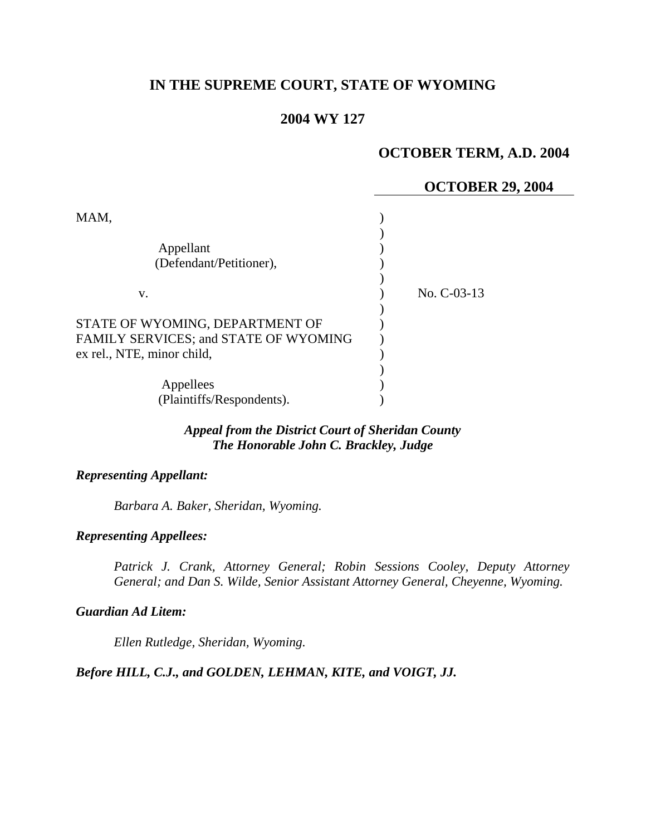# **IN THE SUPREME COURT, STATE OF WYOMING**

### **2004 WY 127**

## **OCTOBER TERM, A.D. 2004**

# **OCTOBER 29, 2004**  MAM,  $\lambda$ Appellant (1) (Defendant/Petitioner), (Defendant/Petitioner), ) v. ) No. C-03-13 ) STATE OF WYOMING, DEPARTMENT OF  $\hspace{1.5cm}$ FAMILY SERVICES; and STATE OF WYOMING  $)$ ex rel., NTE, minor child, ) Appellees (b) (Plaintiffs/Respondents).

## *Appeal from the District Court of Sheridan County The Honorable John C. Brackley, Judge*

### *Representing Appellant:*

*Barbara A. Baker, Sheridan, Wyoming.* 

#### *Representing Appellees:*

*Patrick J. Crank, Attorney General; Robin Sessions Cooley, Deputy Attorney General; and Dan S. Wilde, Senior Assistant Attorney General, Cheyenne, Wyoming.* 

#### *Guardian Ad Litem:*

*Ellen Rutledge, Sheridan, Wyoming.* 

#### *Before HILL, C.J., and GOLDEN, LEHMAN, KITE, and VOIGT, JJ.*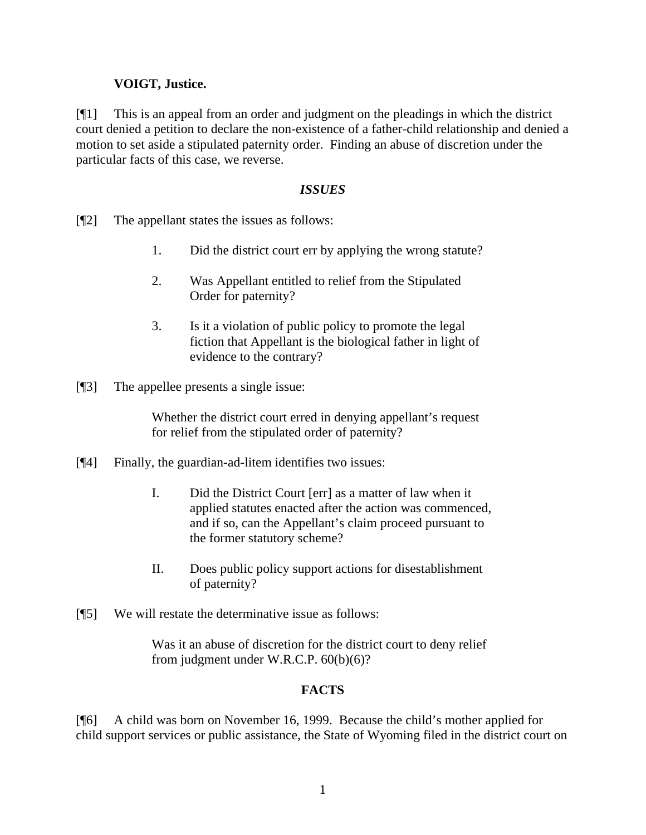## **VOIGT, Justice.**

[¶1] This is an appeal from an order and judgment on the pleadings in which the district court denied a petition to declare the non-existence of a father-child relationship and denied a motion to set aside a stipulated paternity order. Finding an abuse of discretion under the particular facts of this case, we reverse.

## *ISSUES*

- [¶2] The appellant states the issues as follows:
	- 1. Did the district court err by applying the wrong statute?
	- 2. Was Appellant entitled to relief from the Stipulated Order for paternity?
	- 3. Is it a violation of public policy to promote the legal fiction that Appellant is the biological father in light of evidence to the contrary?
- [¶3] The appellee presents a single issue:

Whether the district court erred in denying appellant's request for relief from the stipulated order of paternity?

- [¶4] Finally, the guardian-ad-litem identifies two issues:
	- I. Did the District Court [err] as a matter of law when it applied statutes enacted after the action was commenced, and if so, can the Appellant's claim proceed pursuant to the former statutory scheme?
	- II. Does public policy support actions for disestablishment of paternity?
- [¶5] We will restate the determinative issue as follows:

Was it an abuse of discretion for the district court to deny relief from judgment under W.R.C.P. 60(b)(6)?

## **FACTS**

[¶6] A child was born on November 16, 1999. Because the child's mother applied for child support services or public assistance, the State of Wyoming filed in the district court on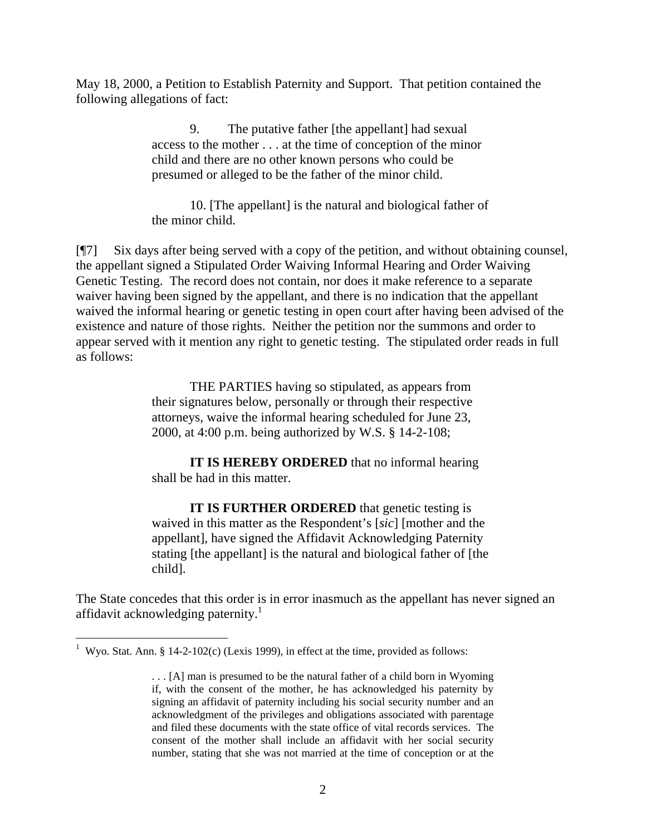May 18, 2000, a Petition to Establish Paternity and Support. That petition contained the following allegations of fact:

> 9. The putative father [the appellant] had sexual access to the mother . . . at the time of conception of the minor child and there are no other known persons who could be presumed or alleged to be the father of the minor child.

10. [The appellant] is the natural and biological father of the minor child.

[¶7] Six days after being served with a copy of the petition, and without obtaining counsel, the appellant signed a Stipulated Order Waiving Informal Hearing and Order Waiving Genetic Testing. The record does not contain, nor does it make reference to a separate waiver having been signed by the appellant, and there is no indication that the appellant waived the informal hearing or genetic testing in open court after having been advised of the existence and nature of those rights. Neither the petition nor the summons and order to appear served with it mention any right to genetic testing. The stipulated order reads in full as follows:

> THE PARTIES having so stipulated, as appears from their signatures below, personally or through their respective attorneys, waive the informal hearing scheduled for June 23, 2000, at 4:00 p.m. being authorized by W.S. § 14-2-108;

**IT IS HEREBY ORDERED** that no informal hearing shall be had in this matter.

**IT IS FURTHER ORDERED** that genetic testing is waived in this matter as the Respondent's [*sic*] [mother and the appellant], have signed the Affidavit Acknowledging Paternity stating [the appellant] is the natural and biological father of [the child].

The State concedes that this order is in error inasmuch as the appellant has never signed an affidavit acknowledging paternity.<sup>1</sup>

 $\overline{a}$ 

<sup>&</sup>lt;sup>1</sup> Wyo. Stat. Ann. § 14-2-102(c) (Lexis 1999), in effect at the time, provided as follows:

<sup>. . . [</sup>A] man is presumed to be the natural father of a child born in Wyoming if, with the consent of the mother, he has acknowledged his paternity by signing an affidavit of paternity including his social security number and an acknowledgment of the privileges and obligations associated with parentage and filed these documents with the state office of vital records services. The consent of the mother shall include an affidavit with her social security number, stating that she was not married at the time of conception or at the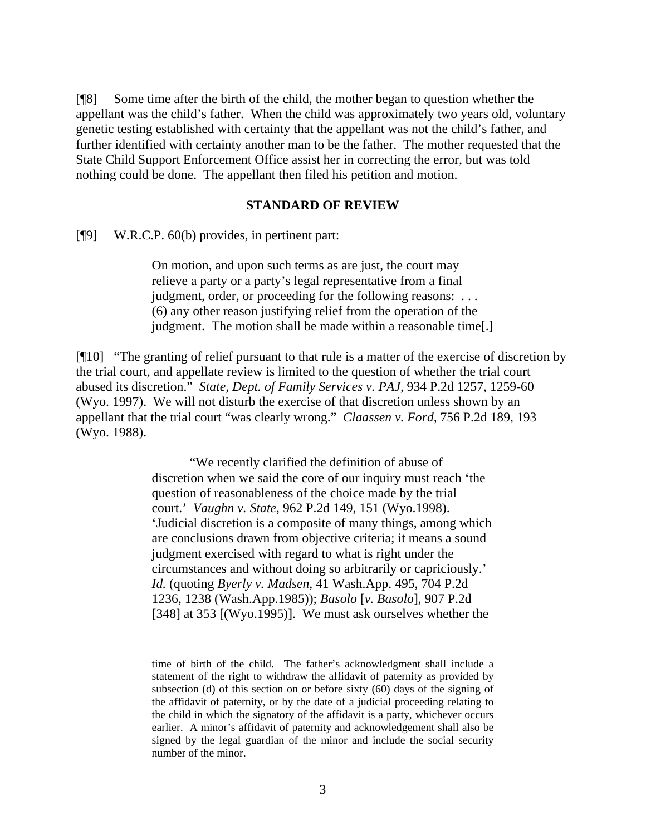[¶8] Some time after the birth of the child, the mother began to question whether the appellant was the child's father. When the child was approximately two years old, voluntary genetic testing established with certainty that the appellant was not the child's father, and further identified with certainty another man to be the father. The mother requested that the State Child Support Enforcement Office assist her in correcting the error, but was told nothing could be done. The appellant then filed his petition and motion.

#### **STANDARD OF REVIEW**

[¶9] W.R.C.P. 60(b) provides, in pertinent part:

On motion, and upon such terms as are just, the court may relieve a party or a party's legal representative from a final judgment, order, or proceeding for the following reasons: ... (6) any other reason justifying relief from the operation of the judgment. The motion shall be made within a reasonable time[.]

[¶10] "The granting of relief pursuant to that rule is a matter of the exercise of discretion by the trial court, and appellate review is limited to the question of whether the trial court abused its discretion." *State, Dept. of Family Services v. PAJ,* 934 P.2d 1257, 1259-60 (Wyo. 1997). We will not disturb the exercise of that discretion unless shown by an appellant that the trial court "was clearly wrong." *Claassen v. Ford,* 756 P.2d 189, 193 (Wyo. 1988).

> "We recently clarified the definition of abuse of discretion when we said the core of our inquiry must reach 'the question of reasonableness of the choice made by the trial court.' *Vaughn v. State,* 962 P.2d 149, 151 (Wyo.1998). 'Judicial discretion is a composite of many things, among which are conclusions drawn from objective criteria; it means a sound judgment exercised with regard to what is right under the circumstances and without doing so arbitrarily or capriciously.' *Id.* (quoting *Byerly v. Madsen,* 41 Wash.App. 495, 704 P.2d 1236, 1238 (Wash.App.1985)); *Basolo* [*v. Basolo*], 907 P.2d [348] at 353 [(Wyo.1995)]. We must ask ourselves whether the

time of birth of the child. The father's acknowledgment shall include a statement of the right to withdraw the affidavit of paternity as provided by subsection (d) of this section on or before sixty (60) days of the signing of the affidavit of paternity, or by the date of a judicial proceeding relating to the child in which the signatory of the affidavit is a party, whichever occurs earlier. A minor's affidavit of paternity and acknowledgement shall also be signed by the legal guardian of the minor and include the social security number of the minor.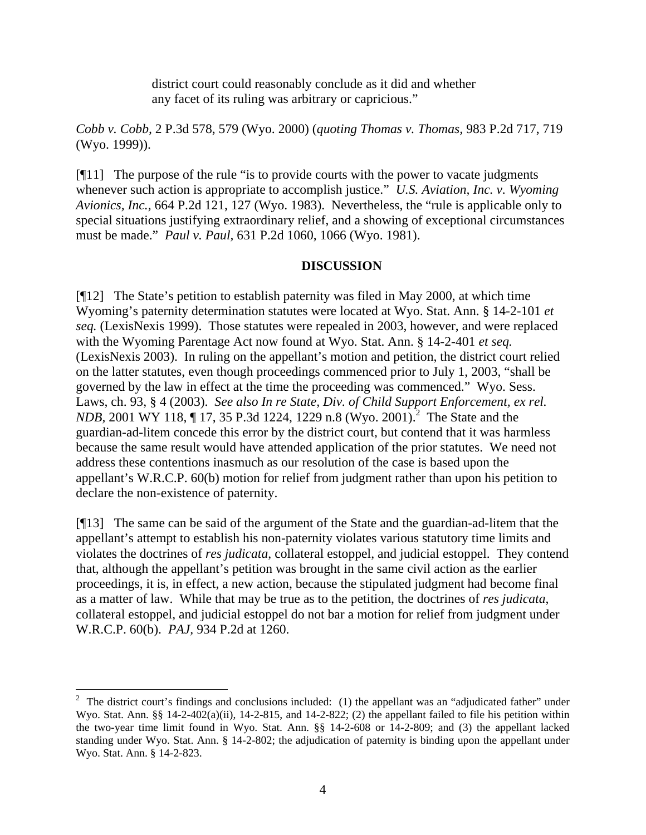district court could reasonably conclude as it did and whether any facet of its ruling was arbitrary or capricious."

*Cobb v. Cobb,* 2 P.3d 578, 579 (Wyo. 2000) (*quoting Thomas v. Thomas,* 983 P.2d 717, 719 (Wyo. 1999)).

[¶11] The purpose of the rule "is to provide courts with the power to vacate judgments whenever such action is appropriate to accomplish justice." *U.S. Aviation, Inc. v. Wyoming Avionics, Inc.,* 664 P.2d 121, 127 (Wyo. 1983). Nevertheless, the "rule is applicable only to special situations justifying extraordinary relief, and a showing of exceptional circumstances must be made." *Paul v. Paul,* 631 P.2d 1060, 1066 (Wyo. 1981).

### **DISCUSSION**

[¶12] The State's petition to establish paternity was filed in May 2000, at which time Wyoming's paternity determination statutes were located at Wyo. Stat. Ann. § 14-2-101 *et seq.* (LexisNexis 1999). Those statutes were repealed in 2003, however, and were replaced with the Wyoming Parentage Act now found at Wyo. Stat. Ann. § 14-2-401 *et seq.*  (LexisNexis 2003). In ruling on the appellant's motion and petition, the district court relied on the latter statutes, even though proceedings commenced prior to July 1, 2003, "shall be governed by the law in effect at the time the proceeding was commenced." Wyo. Sess. Laws, ch. 93, § 4 (2003). *See also In re State, Div. of Child Support Enforcement, ex rel. NDB*, 2001 WY 118, 17, 35 P.3d 1224, 1229 n.8 (Wyo. 2001).<sup>2</sup> The State and the guardian-ad-litem concede this error by the district court, but contend that it was harmless because the same result would have attended application of the prior statutes. We need not address these contentions inasmuch as our resolution of the case is based upon the appellant's W.R.C.P. 60(b) motion for relief from judgment rather than upon his petition to declare the non-existence of paternity.

[¶13] The same can be said of the argument of the State and the guardian-ad-litem that the appellant's attempt to establish his non-paternity violates various statutory time limits and violates the doctrines of *res judicata*, collateral estoppel, and judicial estoppel. They contend that, although the appellant's petition was brought in the same civil action as the earlier proceedings, it is, in effect, a new action, because the stipulated judgment had become final as a matter of law. While that may be true as to the petition, the doctrines of *res judicata*, collateral estoppel, and judicial estoppel do not bar a motion for relief from judgment under W.R.C.P. 60(b). *PAJ,* 934 P.2d at 1260.

l <sup>2</sup> The district court's findings and conclusions included: (1) the appellant was an "adjudicated father" under Wyo. Stat. Ann. §§ 14-2-402(a)(ii), 14-2-815, and 14-2-822; (2) the appellant failed to file his petition within the two-year time limit found in Wyo. Stat. Ann. §§ 14-2-608 or 14-2-809; and (3) the appellant lacked standing under Wyo. Stat. Ann. § 14-2-802; the adjudication of paternity is binding upon the appellant under Wyo. Stat. Ann. § 14-2-823.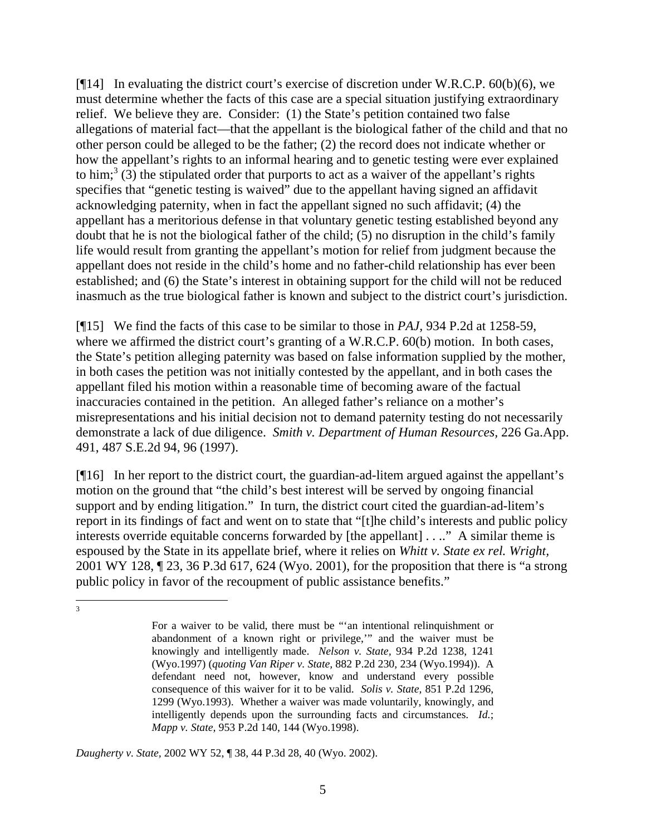[ $[14]$ ] In evaluating the district court's exercise of discretion under W.R.C.P.  $60(b)(6)$ , we must determine whether the facts of this case are a special situation justifying extraordinary relief. We believe they are. Consider: (1) the State's petition contained two false allegations of material fact—that the appellant is the biological father of the child and that no other person could be alleged to be the father; (2) the record does not indicate whether or how the appellant's rights to an informal hearing and to genetic testing were ever explained to him;<sup>3</sup> (3) the stipulated order that purports to act as a waiver of the appellant's rights specifies that "genetic testing is waived" due to the appellant having signed an affidavit acknowledging paternity, when in fact the appellant signed no such affidavit; (4) the appellant has a meritorious defense in that voluntary genetic testing established beyond any doubt that he is not the biological father of the child; (5) no disruption in the child's family life would result from granting the appellant's motion for relief from judgment because the appellant does not reside in the child's home and no father-child relationship has ever been established; and (6) the State's interest in obtaining support for the child will not be reduced inasmuch as the true biological father is known and subject to the district court's jurisdiction.

[¶15] We find the facts of this case to be similar to those in *PAJ,* 934 P.2d at 1258-59, where we affirmed the district court's granting of a W.R.C.P. 60(b) motion. In both cases, the State's petition alleging paternity was based on false information supplied by the mother, in both cases the petition was not initially contested by the appellant, and in both cases the appellant filed his motion within a reasonable time of becoming aware of the factual inaccuracies contained in the petition. An alleged father's reliance on a mother's misrepresentations and his initial decision not to demand paternity testing do not necessarily demonstrate a lack of due diligence. *Smith v. Department of Human Resources,* 226 Ga.App. 491, 487 S.E.2d 94, 96 (1997).

[¶16] In her report to the district court, the guardian-ad-litem argued against the appellant's motion on the ground that "the child's best interest will be served by ongoing financial support and by ending litigation." In turn, the district court cited the guardian-ad-litem's report in its findings of fact and went on to state that "[t]he child's interests and public policy interests override equitable concerns forwarded by [the appellant] . . .." A similar theme is espoused by the State in its appellate brief, where it relies on *Whitt v. State ex rel. Wright,*  2001 WY 128, ¶ 23, 36 P.3d 617, 624 (Wyo. 2001), for the proposition that there is "a strong public policy in favor of the recoupment of public assistance benefits."

*Daugherty v. State,* 2002 WY 52, ¶ 38, 44 P.3d 28, 40 (Wyo. 2002).

<sup>2</sup><br>3

For a waiver to be valid, there must be "'an intentional relinquishment or abandonment of a known right or privilege,'" and the waiver must be knowingly and intelligently made. *Nelson v. State,* 934 P.2d 1238, 1241 (Wyo.1997) (*quoting Van Riper v. State,* 882 P.2d 230, 234 (Wyo.1994)). A defendant need not, however, know and understand every possible consequence of this waiver for it to be valid. *Solis v. State,* 851 P.2d 1296, 1299 (Wyo.1993). Whether a waiver was made voluntarily, knowingly, and intelligently depends upon the surrounding facts and circumstances. *Id.*; *Mapp v. State,* 953 P.2d 140, 144 (Wyo.1998).